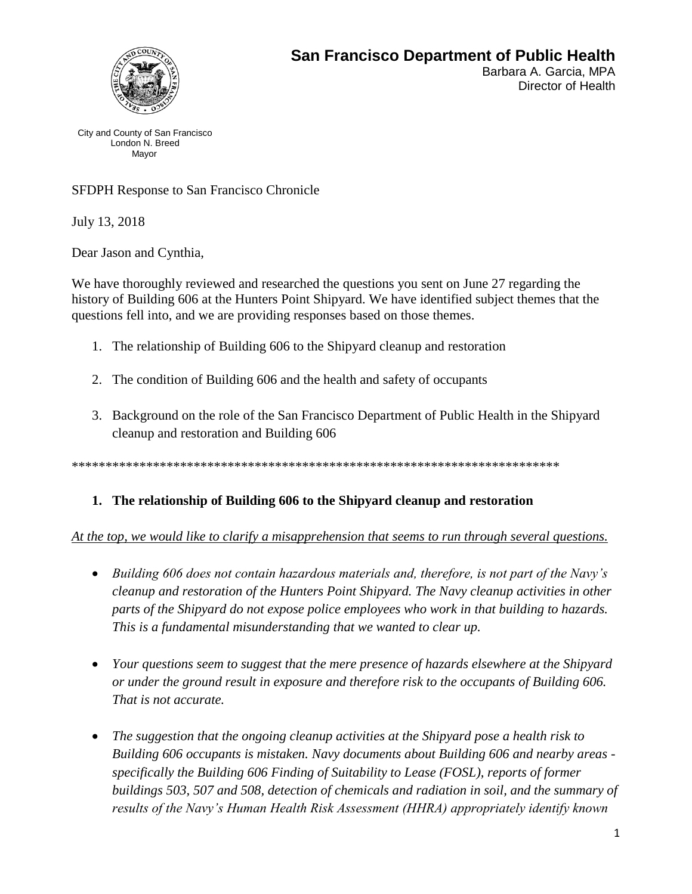

Barbara A. Garcia, MPA Director of Health

City and County of San Francisco London N. Breed Mayor

SFDPH Response to San Francisco Chronicle

July 13, 2018

Dear Jason and Cynthia,

We have thoroughly reviewed and researched the questions you sent on June 27 regarding the history of Building 606 at the Hunters Point Shipyard. We have identified subject themes that the questions fell into, and we are providing responses based on those themes.

- 1. The relationship of Building 606 to the Shipyard cleanup and restoration
- 2. The condition of Building 606 and the health and safety of occupants
- 3. Background on the role of the San Francisco Department of Public Health in the Shipyard cleanup and restoration and Building 606

\*\*\*\*\*\*\*\*\*\*\*\*\*\*\*\*\*\*\*\*\*\*\*\*\*\*\*\*\*\*\*\*\*\*\*\*\*\*\*\*\*\*\*\*\*\*\*\*\*\*\*\*\*\*\*\*\*\*\*\*\*\*\*\*\*\*\*\*\*\*\*\*

# **1. The relationship of Building 606 to the Shipyard cleanup and restoration**

#### *At the top, we would like to clarify a misapprehension that seems to run through several questions.*

- *Building 606 does not contain hazardous materials and, therefore, is not part of the Navy's cleanup and restoration of the Hunters Point Shipyard. The Navy cleanup activities in other parts of the Shipyard do not expose police employees who work in that building to hazards. This is a fundamental misunderstanding that we wanted to clear up.*
- *Your questions seem to suggest that the mere presence of hazards elsewhere at the Shipyard or under the ground result in exposure and therefore risk to the occupants of Building 606. That is not accurate.*
- *The suggestion that the ongoing cleanup activities at the Shipyard pose a health risk to Building 606 occupants is mistaken. Navy documents about Building 606 and nearby areas specifically the Building 606 Finding of Suitability to Lease (FOSL), reports of former buildings 503, 507 and 508, detection of chemicals and radiation in soil, and the summary of results of the Navy's Human Health Risk Assessment (HHRA) appropriately identify known*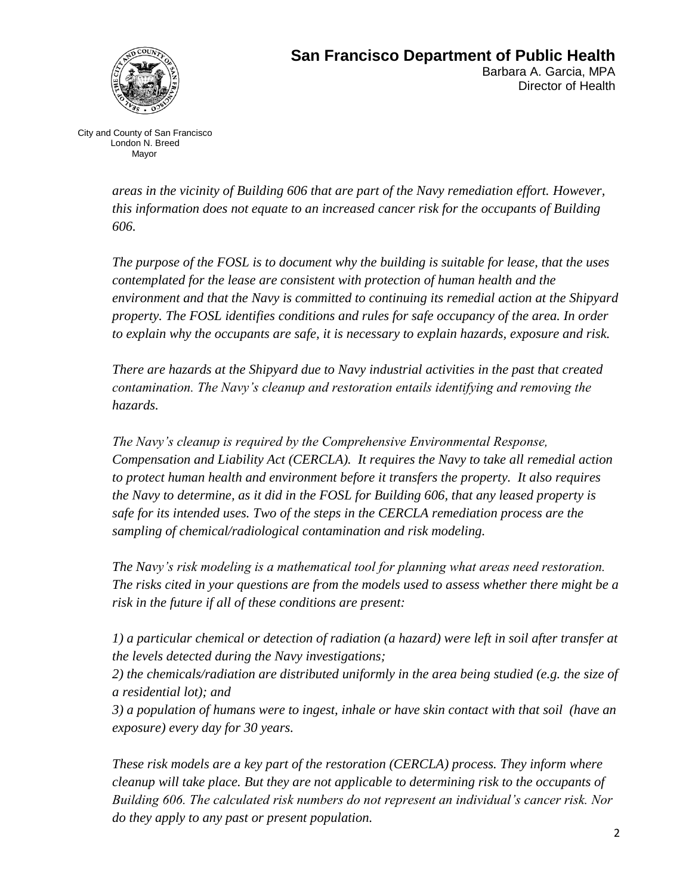

Barbara A. Garcia, MPA Director of Health

City and County of San Francisco London N. Breed Mayor

> *areas in the vicinity of Building 606 that are part of the Navy remediation effort. However, this information does not equate to an increased cancer risk for the occupants of Building 606.*

*The purpose of the FOSL is to document why the building is suitable for lease, that the uses contemplated for the lease are consistent with protection of human health and the environment and that the Navy is committed to continuing its remedial action at the Shipyard property. The FOSL identifies conditions and rules for safe occupancy of the area. In order to explain why the occupants are safe, it is necessary to explain hazards, exposure and risk.*

*There are hazards at the Shipyard due to Navy industrial activities in the past that created contamination. The Navy's cleanup and restoration entails identifying and removing the hazards.* 

*The Navy's cleanup is required by the Comprehensive Environmental Response, Compensation and Liability Act (CERCLA). It requires the Navy to take all remedial action to protect human health and environment before it transfers the property. It also requires the Navy to determine, as it did in the FOSL for Building 606, that any leased property is safe for its intended uses. Two of the steps in the CERCLA remediation process are the sampling of chemical/radiological contamination and risk modeling.* 

*The Navy's risk modeling is a mathematical tool for planning what areas need restoration. The risks cited in your questions are from the models used to assess whether there might be a risk in the future if all of these conditions are present:* 

*1) a particular chemical or detection of radiation (a hazard) were left in soil after transfer at the levels detected during the Navy investigations;* 

*2) the chemicals/radiation are distributed uniformly in the area being studied (e.g. the size of a residential lot); and* 

*3) a population of humans were to ingest, inhale or have skin contact with that soil (have an exposure) every day for 30 years.* 

*These risk models are a key part of the restoration (CERCLA) process. They inform where cleanup will take place. But they are not applicable to determining risk to the occupants of Building 606. The calculated risk numbers do not represent an individual's cancer risk. Nor do they apply to any past or present population.*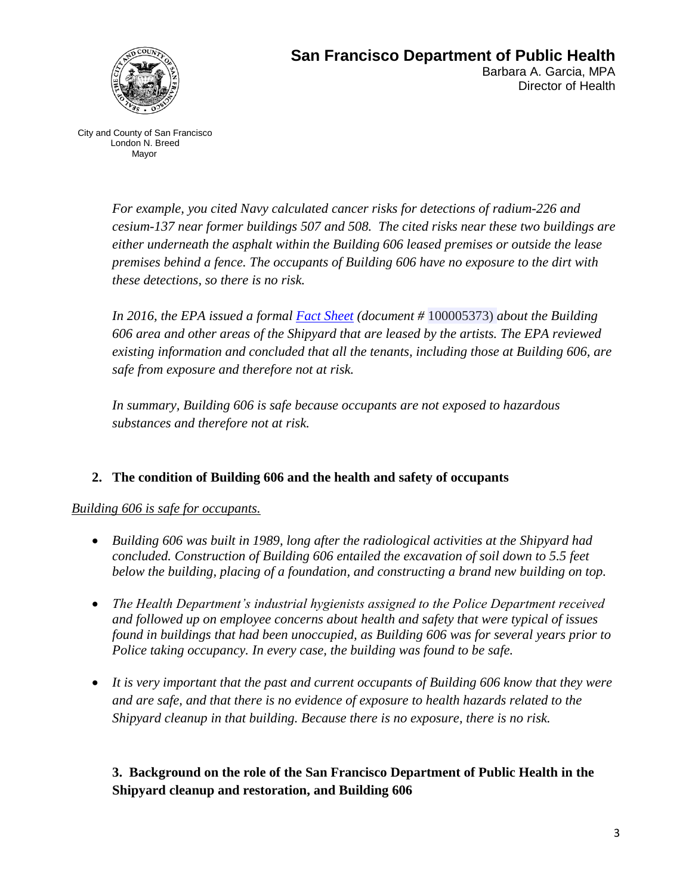

Barbara A. Garcia, MPA Director of Health

City and County of San Francisco London N. Breed Mayor

> *For example, you cited Navy calculated cancer risks for detections of radium-226 and cesium-137 near former buildings 507 and 508. The cited risks near these two buildings are either underneath the asphalt within the Building 606 leased premises or outside the lease premises behind a fence. The occupants of Building 606 have no exposure to the dirt with these detections, so there is no risk.*

> *In 2016, the EPA issued a formal [Fact Sheet](https://tinyurl.com/y7f4q9bb) (document #* 100005373) *about the Building 606 area and other areas of the Shipyard that are leased by the artists. The EPA reviewed existing information and concluded that all the tenants, including those at Building 606, are safe from exposure and therefore not at risk.*

*In summary, Building 606 is safe because occupants are not exposed to hazardous substances and therefore not at risk.* 

# **2. The condition of Building 606 and the health and safety of occupants**

#### *Building 606 is safe for occupants.*

- *Building 606 was built in 1989, long after the radiological activities at the Shipyard had concluded. Construction of Building 606 entailed the excavation of soil down to 5.5 feet below the building, placing of a foundation, and constructing a brand new building on top.*
- *The Health Department's industrial hygienists assigned to the Police Department received and followed up on employee concerns about health and safety that were typical of issues found in buildings that had been unoccupied, as Building 606 was for several years prior to Police taking occupancy. In every case, the building was found to be safe.*
- *It is very important that the past and current occupants of Building 606 know that they were and are safe, and that there is no evidence of exposure to health hazards related to the Shipyard cleanup in that building. Because there is no exposure, there is no risk.*

# **3. Background on the role of the San Francisco Department of Public Health in the Shipyard cleanup and restoration, and Building 606**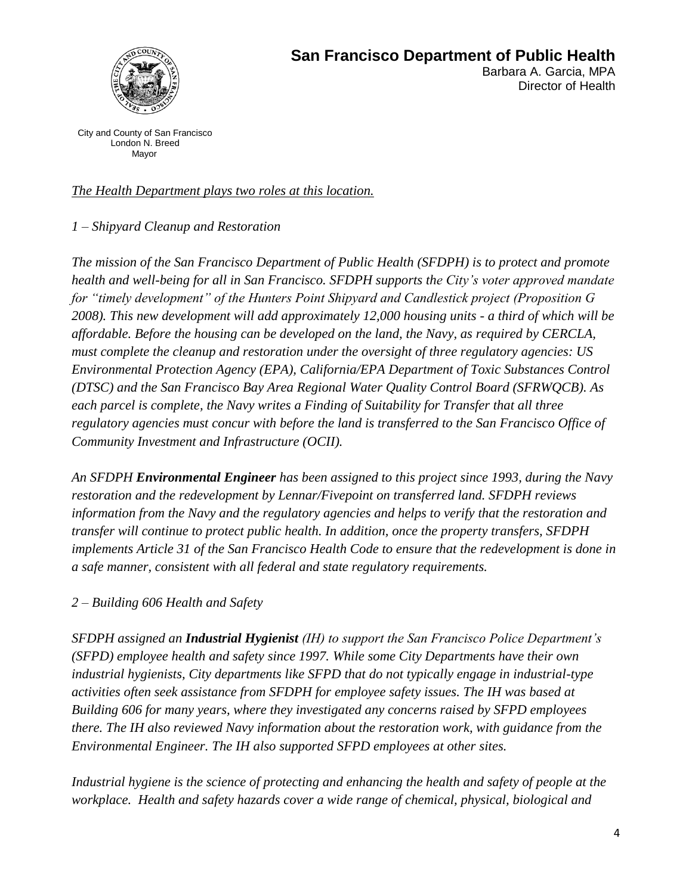

Director of Health

City and County of San Francisco London N. Breed Mayor

#### *The Health Department plays two roles at this location.*

*1 – Shipyard Cleanup and Restoration*

*The mission of the San Francisco Department of Public Health (SFDPH) is to protect and promote health and well-being for all in San Francisco. SFDPH supports the City's voter approved mandate for "timely development" of the Hunters Point Shipyard and Candlestick project (Proposition G 2008). This new development will add approximately 12,000 housing units - a third of which will be affordable. Before the housing can be developed on the land, the Navy, as required by CERCLA, must complete the cleanup and restoration under the oversight of three regulatory agencies: US Environmental Protection Agency (EPA), California/EPA Department of Toxic Substances Control (DTSC) and the San Francisco Bay Area Regional Water Quality Control Board (SFRWQCB). As each parcel is complete, the Navy writes a Finding of Suitability for Transfer that all three regulatory agencies must concur with before the land is transferred to the San Francisco Office of Community Investment and Infrastructure (OCII).* 

*An SFDPH Environmental Engineer has been assigned to this project since 1993, during the Navy restoration and the redevelopment by Lennar/Fivepoint on transferred land. SFDPH reviews information from the Navy and the regulatory agencies and helps to verify that the restoration and transfer will continue to protect public health. In addition, once the property transfers, SFDPH implements Article 31 of the San Francisco Health Code to ensure that the redevelopment is done in a safe manner, consistent with all federal and state regulatory requirements.* 

# *2 – Building 606 Health and Safety*

*SFDPH assigned an Industrial Hygienist (IH) to support the San Francisco Police Department's (SFPD) employee health and safety since 1997. While some City Departments have their own industrial hygienists, City departments like SFPD that do not typically engage in industrial-type activities often seek assistance from SFDPH for employee safety issues. The IH was based at Building 606 for many years, where they investigated any concerns raised by SFPD employees there. The IH also reviewed Navy information about the restoration work, with guidance from the Environmental Engineer. The IH also supported SFPD employees at other sites.* 

*Industrial hygiene is the science of protecting and enhancing the health and safety of people at the workplace. Health and safety hazards cover a wide range of chemical, physical, biological and*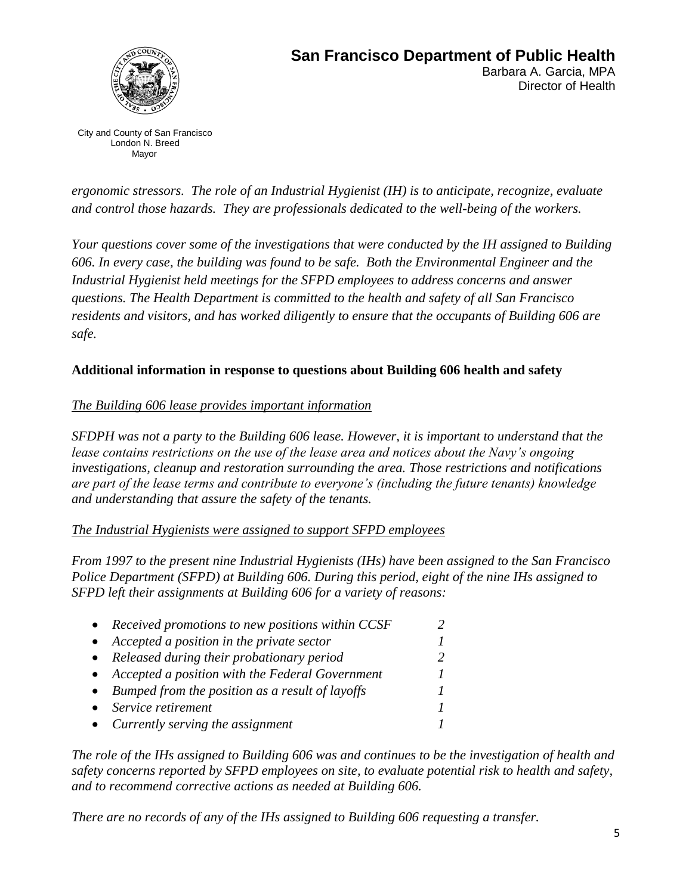

#### **San Francisco Department of Public Health**  Barbara A. Garcia, MPA Director of Health

City and County of San Francisco London N. Breed Mayor

*ergonomic stressors. The role of an Industrial Hygienist (IH) is to anticipate, recognize, evaluate and control those hazards. They are professionals dedicated to the well-being of the workers.* 

*Your questions cover some of the investigations that were conducted by the IH assigned to Building 606. In every case, the building was found to be safe. Both the Environmental Engineer and the Industrial Hygienist held meetings for the SFPD employees to address concerns and answer questions. The Health Department is committed to the health and safety of all San Francisco residents and visitors, and has worked diligently to ensure that the occupants of Building 606 are safe.*

#### **Additional information in response to questions about Building 606 health and safety**

#### *The Building 606 lease provides important information*

*SFDPH was not a party to the Building 606 lease. However, it is important to understand that the lease contains restrictions on the use of the lease area and notices about the Navy's ongoing investigations, cleanup and restoration surrounding the area. Those restrictions and notifications are part of the lease terms and contribute to everyone's (including the future tenants) knowledge and understanding that assure the safety of the tenants.* 

#### *The Industrial Hygienists were assigned to support SFPD employees*

*From 1997 to the present nine Industrial Hygienists (IHs) have been assigned to the San Francisco Police Department (SFPD) at Building 606. During this period, eight of the nine IHs assigned to SFPD left their assignments at Building 606 for a variety of reasons:*

| • Received promotions to new positions within CCSF |  |
|----------------------------------------------------|--|
| • Accepted a position in the private sector        |  |
| • Released during their probationary period        |  |
| • Accepted a position with the Federal Government  |  |
| • Bumped from the position as a result of layoffs  |  |
| • Service retirement                               |  |
| • Currently serving the assignment                 |  |

*The role of the IHs assigned to Building 606 was and continues to be the investigation of health and safety concerns reported by SFPD employees on site, to evaluate potential risk to health and safety, and to recommend corrective actions as needed at Building 606.* 

*There are no records of any of the IHs assigned to Building 606 requesting a transfer.*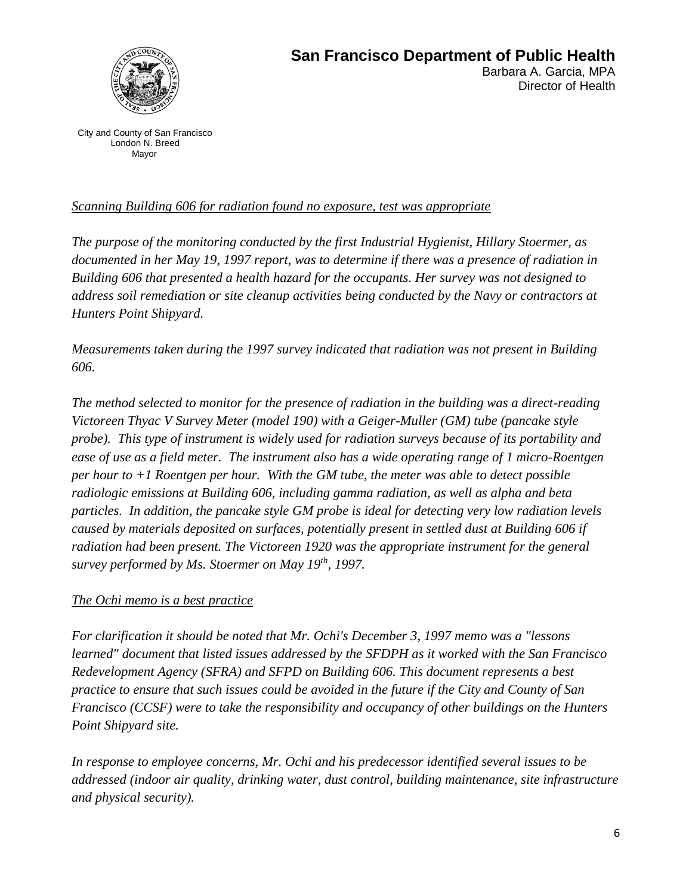

City and County of San Francisco London N. Breed Mayor

#### *Scanning Building 606 for radiation found no exposure, test was appropriate*

*The purpose of the monitoring conducted by the first Industrial Hygienist, Hillary Stoermer, as documented in her May 19, 1997 report, was to determine if there was a presence of radiation in Building 606 that presented a health hazard for the occupants. Her survey was not designed to address soil remediation or site cleanup activities being conducted by the Navy or contractors at Hunters Point Shipyard.*

*Measurements taken during the 1997 survey indicated that radiation was not present in Building 606.*

*The method selected to monitor for the presence of radiation in the building was a direct-reading Victoreen Thyac V Survey Meter (model 190) with a Geiger-Muller (GM) tube (pancake style probe). This type of instrument is widely used for radiation surveys because of its portability and ease of use as a field meter. The instrument also has a wide operating range of 1 micro-Roentgen per hour to +1 Roentgen per hour. With the GM tube, the meter was able to detect possible radiologic emissions at Building 606, including gamma radiation, as well as alpha and beta particles. In addition, the pancake style GM probe is ideal for detecting very low radiation levels caused by materials deposited on surfaces, potentially present in settled dust at Building 606 if radiation had been present. The Victoreen 1920 was the appropriate instrument for the general survey performed by Ms. Stoermer on May 19th, 1997.*

#### *The Ochi memo is a best practice*

*For clarification it should be noted that Mr. Ochi's December 3, 1997 memo was a "lessons learned" document that listed issues addressed by the SFDPH as it worked with the San Francisco Redevelopment Agency (SFRA) and SFPD on Building 606. This document represents a best practice to ensure that such issues could be avoided in the future if the City and County of San Francisco (CCSF) were to take the responsibility and occupancy of other buildings on the Hunters Point Shipyard site.* 

*In response to employee concerns, Mr. Ochi and his predecessor identified several issues to be addressed (indoor air quality, drinking water, dust control, building maintenance, site infrastructure and physical security).*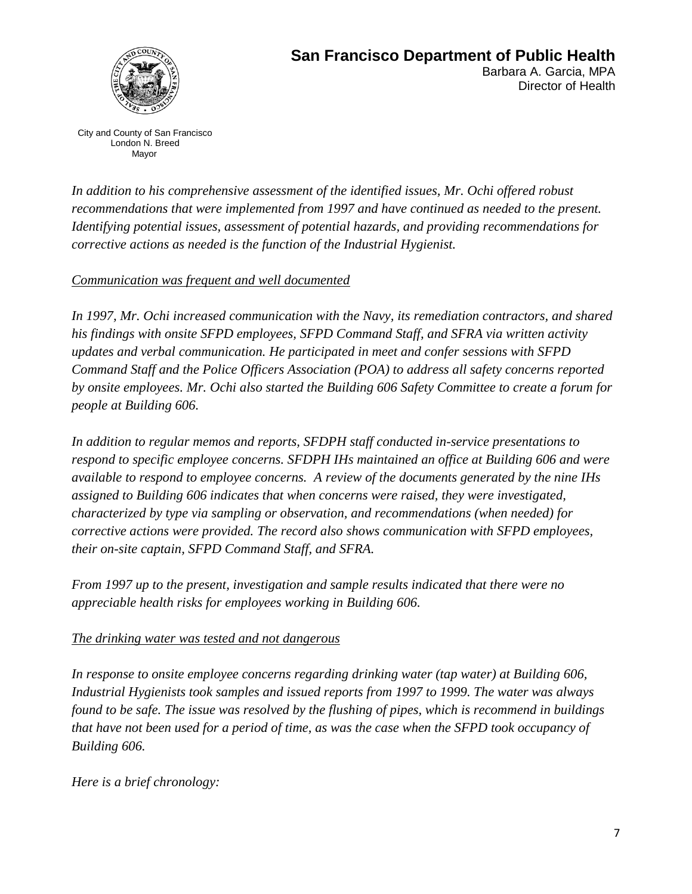

#### **San Francisco Department of Public Health**  Barbara A. Garcia, MPA

Director of Health

City and County of San Francisco London N. Breed Mayor

*In addition to his comprehensive assessment of the identified issues, Mr. Ochi offered robust recommendations that were implemented from 1997 and have continued as needed to the present. Identifying potential issues, assessment of potential hazards, and providing recommendations for corrective actions as needed is the function of the Industrial Hygienist.*

# *Communication was frequent and well documented*

*In 1997, Mr. Ochi increased communication with the Navy, its remediation contractors, and shared his findings with onsite SFPD employees, SFPD Command Staff, and SFRA via written activity updates and verbal communication. He participated in meet and confer sessions with SFPD Command Staff and the Police Officers Association (POA) to address all safety concerns reported by onsite employees. Mr. Ochi also started the Building 606 Safety Committee to create a forum for people at Building 606.*

*In addition to regular memos and reports, SFDPH staff conducted in-service presentations to respond to specific employee concerns. SFDPH IHs maintained an office at Building 606 and were available to respond to employee concerns. A review of the documents generated by the nine IHs assigned to Building 606 indicates that when concerns were raised, they were investigated, characterized by type via sampling or observation, and recommendations (when needed) for corrective actions were provided. The record also shows communication with SFPD employees, their on-site captain, SFPD Command Staff, and SFRA.*

*From 1997 up to the present, investigation and sample results indicated that there were no appreciable health risks for employees working in Building 606.*

# *The drinking water was tested and not dangerous*

*In response to onsite employee concerns regarding drinking water (tap water) at Building 606, Industrial Hygienists took samples and issued reports from 1997 to 1999. The water was always found to be safe. The issue was resolved by the flushing of pipes, which is recommend in buildings that have not been used for a period of time, as was the case when the SFPD took occupancy of Building 606.* 

*Here is a brief chronology:*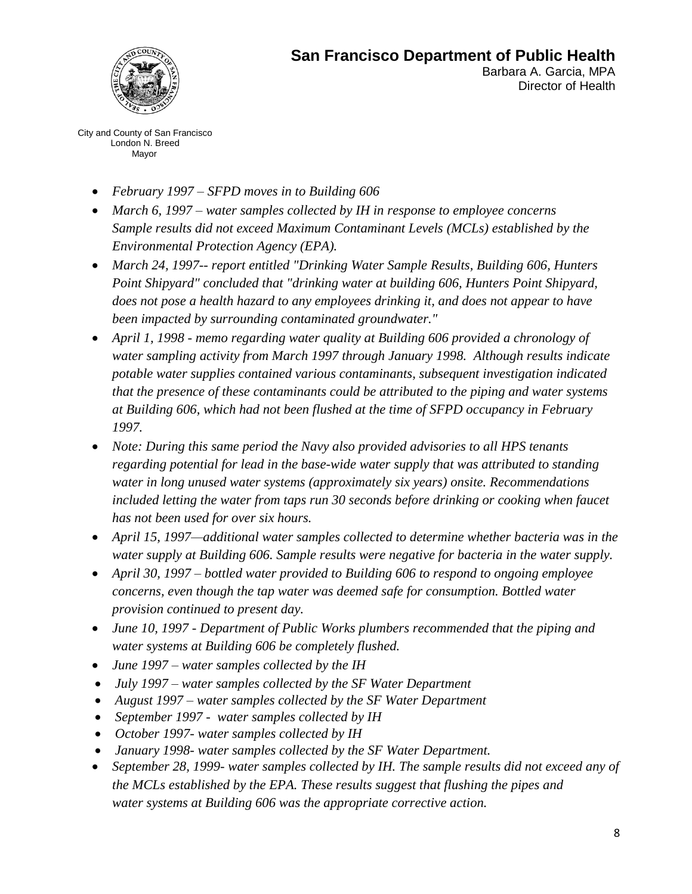

Barbara A. Garcia, MPA Director of Health

City and County of San Francisco London N. Breed Mayor

- *February 1997 – SFPD moves in to Building 606*
- *March 6, 1997 – water samples collected by IH in response to employee concerns Sample results did not exceed Maximum Contaminant Levels (MCLs) established by the Environmental Protection Agency (EPA).*
- *March 24, 1997-- report entitled "Drinking Water Sample Results, Building 606, Hunters Point Shipyard" concluded that "drinking water at building 606, Hunters Point Shipyard, does not pose a health hazard to any employees drinking it, and does not appear to have been impacted by surrounding contaminated groundwater."*
- *April 1, 1998 - memo regarding water quality at Building 606 provided a chronology of water sampling activity from March 1997 through January 1998. Although results indicate potable water supplies contained various contaminants, subsequent investigation indicated that the presence of these contaminants could be attributed to the piping and water systems at Building 606, which had not been flushed at the time of SFPD occupancy in February 1997.*
- *Note: During this same period the Navy also provided advisories to all HPS tenants regarding potential for lead in the base-wide water supply that was attributed to standing water in long unused water systems (approximately six years) onsite. Recommendations*  included letting the water from taps run 30 seconds before drinking or cooking when faucet *has not been used for over six hours.*
- *April 15, 1997—additional water samples collected to determine whether bacteria was in the water supply at Building 606. Sample results were negative for bacteria in the water supply.*
- *April 30, 1997 – bottled water provided to Building 606 to respond to ongoing employee concerns, even though the tap water was deemed safe for consumption. Bottled water provision continued to present day.*
- *June 10, 1997 - Department of Public Works plumbers recommended that the piping and water systems at Building 606 be completely flushed.*
- *June 1997 – water samples collected by the IH*
- *July 1997 – water samples collected by the SF Water Department*
- *August 1997 – water samples collected by the SF Water Department*
- *September 1997 water samples collected by IH*
- *October 1997- water samples collected by IH*
- *January 1998- water samples collected by the SF Water Department.*
- *September 28, 1999- water samples collected by IH. The sample results did not exceed any of the MCLs established by the EPA. These results suggest that flushing the pipes and water systems at Building 606 was the appropriate corrective action.*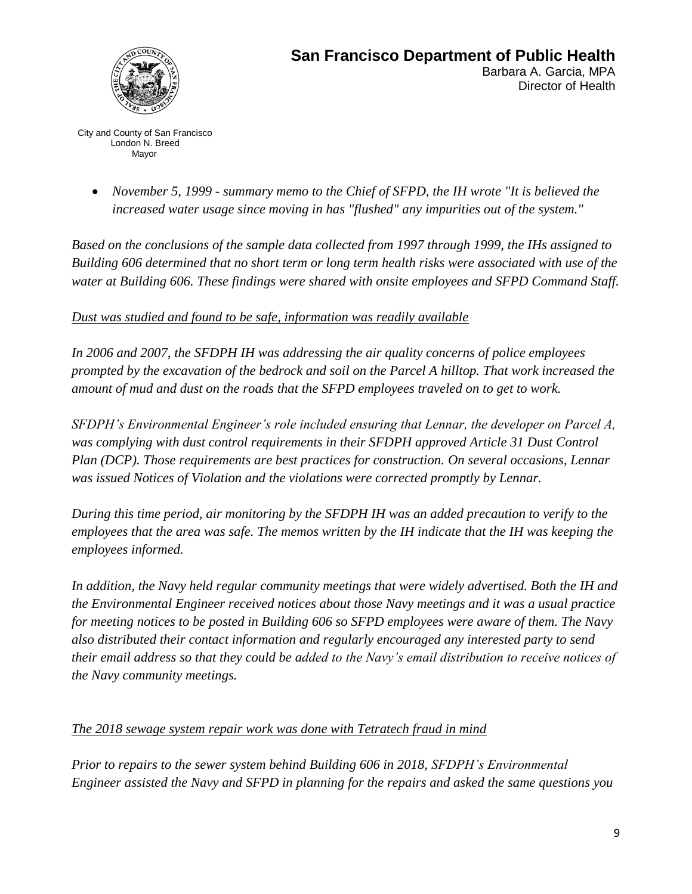

City and County of San Francisco London N. Breed Mayor

 *November 5, 1999 - summary memo to the Chief of SFPD, the IH wrote "It is believed the increased water usage since moving in has "flushed" any impurities out of the system."*

*Based on the conclusions of the sample data collected from 1997 through 1999, the IHs assigned to Building 606 determined that no short term or long term health risks were associated with use of the water at Building 606. These findings were shared with onsite employees and SFPD Command Staff.*

### *Dust was studied and found to be safe, information was readily available*

*In 2006 and 2007, the SFDPH IH was addressing the air quality concerns of police employees prompted by the excavation of the bedrock and soil on the Parcel A hilltop. That work increased the amount of mud and dust on the roads that the SFPD employees traveled on to get to work.* 

*SFDPH's Environmental Engineer's role included ensuring that Lennar, the developer on Parcel A, was complying with dust control requirements in their SFDPH approved Article 31 Dust Control Plan (DCP). Those requirements are best practices for construction. On several occasions, Lennar was issued Notices of Violation and the violations were corrected promptly by Lennar.* 

*During this time period, air monitoring by the SFDPH IH was an added precaution to verify to the employees that the area was safe. The memos written by the IH indicate that the IH was keeping the employees informed.*

*In addition, the Navy held regular community meetings that were widely advertised. Both the IH and the Environmental Engineer received notices about those Navy meetings and it was a usual practice for meeting notices to be posted in Building 606 so SFPD employees were aware of them. The Navy also distributed their contact information and regularly encouraged any interested party to send their email address so that they could be added to the Navy's email distribution to receive notices of the Navy community meetings.*

# *The 2018 sewage system repair work was done with Tetratech fraud in mind*

*Prior to repairs to the sewer system behind Building 606 in 2018, SFDPH's Environmental Engineer assisted the Navy and SFPD in planning for the repairs and asked the same questions you*